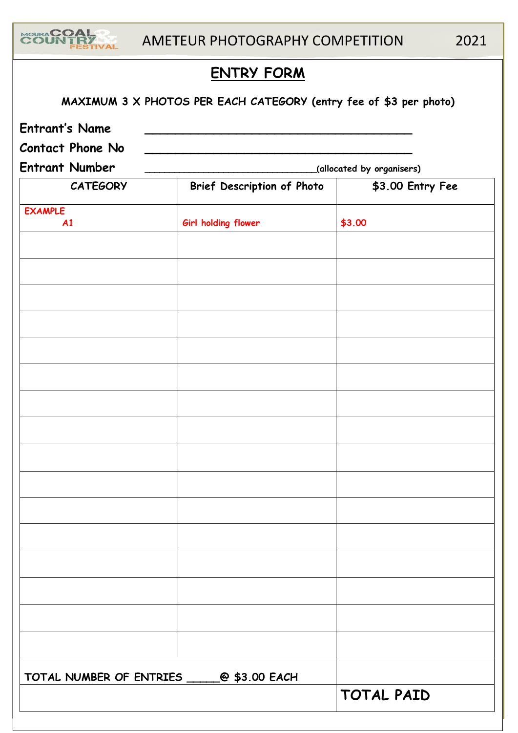

**MAXIMUM 3 X PHOTOS PER EACH CATEGORY (entry fee of \$3 per photo) Entrant's Name \_\_\_\_\_\_\_\_\_\_\_\_\_\_\_\_\_\_\_\_\_\_\_\_\_\_\_\_\_\_\_\_\_\_\_ Contact Phone No \_\_\_\_\_\_\_\_\_\_\_\_\_\_\_\_\_\_\_\_\_\_\_\_\_\_\_\_\_\_\_\_\_\_\_ Entrant Number \_\_\_\_\_\_\_\_\_\_\_\_\_\_\_\_\_\_\_\_\_\_\_\_\_\_\_\_\_\_\_\_\_\_\_(allocated by organisers) CATEGORY Brief Description of Photo \$3.00 Entry Fee**

| <b>EXAMPLE</b>                                |                     |            |
|-----------------------------------------------|---------------------|------------|
| A1                                            | Girl holding flower | \$3.00     |
|                                               |                     |            |
|                                               |                     |            |
|                                               |                     |            |
|                                               |                     |            |
|                                               |                     |            |
|                                               |                     |            |
|                                               |                     |            |
|                                               |                     |            |
|                                               |                     |            |
|                                               |                     |            |
|                                               |                     |            |
|                                               |                     |            |
|                                               |                     |            |
|                                               |                     |            |
|                                               |                     |            |
|                                               |                     |            |
|                                               |                     |            |
|                                               |                     |            |
|                                               |                     |            |
|                                               |                     |            |
|                                               |                     |            |
|                                               |                     |            |
|                                               |                     |            |
|                                               |                     |            |
|                                               |                     |            |
| TOTAL NUMBER OF ENTRIES ________@ \$3.00 EACH |                     |            |
|                                               |                     | TOTAL PAID |
|                                               |                     |            |
|                                               |                     |            |